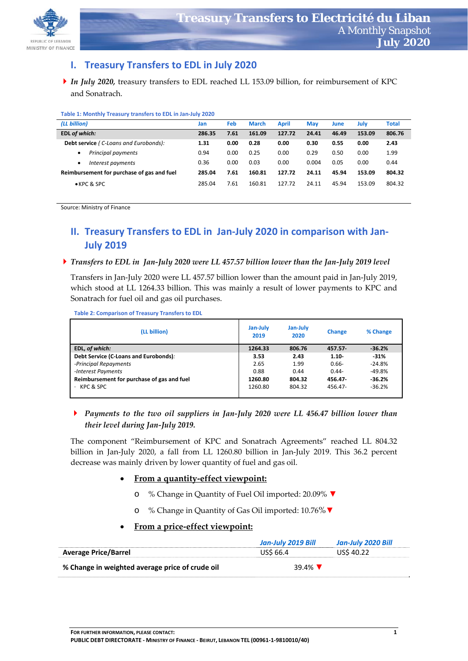

## **I. Treasury Transfers to EDL in July 2020**

*In July 2020,* treasury transfers to EDL reached LL 153.09 billion, for reimbursement of KPC and Sonatrach.

| Table 1: Monthly Treasury transfers to EDL in Jan-July 2020 |  |  |
|-------------------------------------------------------------|--|--|
|-------------------------------------------------------------|--|--|

| (LL billion)                                 | Jan    | Feb  | <b>March</b> | <b>April</b> | <b>May</b> | June  | July   | Total  |
|----------------------------------------------|--------|------|--------------|--------------|------------|-------|--------|--------|
| EDL of which:                                | 286.35 | 7.61 | 161.09       | 127.72       | 24.41      | 46.49 | 153.09 | 806.76 |
| <b>Debt service</b> (C-Loans and Eurobonds): | 1.31   | 0.00 | 0.28         | 0.00         | 0.30       | 0.55  | 0.00   | 2.43   |
| Principal payments                           | 0.94   | 0.00 | 0.25         | 0.00         | 0.29       | 0.50  | 0.00   | 1.99   |
| Interest payments                            | 0.36   | 0.00 | 0.03         | 0.00         | 0.004      | 0.05  | 0.00   | 0.44   |
| Reimbursement for purchase of gas and fuel   | 285.04 | 7.61 | 160.81       | 127.72       | 24.11      | 45.94 | 153.09 | 804.32 |
| ● KPC & SPC                                  | 285.04 | 7.61 | 160.81       | 127.72       | 24.11      | 45.94 | 153.09 | 804.32 |

Source: Ministry of Finance

# **II. Treasury Transfers to EDL in Jan‐July 2020 in comparison with Jan‐ July 2019**

### ▶ Transfers to EDL in Jan-July 2020 were LL 457.57 billion lower than the Jan-July 2019 level

Transfers in Jan‐July 2020 were LL 457.57 billion lower than the amount paid in Jan‐July 2019, which stood at LL 1264.33 billion. This was mainly a result of lower payments to KPC and Sonatrach for fuel oil and gas oil purchases.

**Table 2: Comparison of Treasury Transfers to EDL** 

| (LL billion)                               | Jan-July<br>2019 | Jan-July<br>2020 | <b>Change</b> | % Change |
|--------------------------------------------|------------------|------------------|---------------|----------|
| EDL, of which:                             | 1264.33          | 806.76           | $457.57 -$    | $-36.2%$ |
| Debt Service (C-Loans and Eurobonds).      | 3.53             | 2.43             | $1.10 -$      | $-31%$   |
| -Principal Repayments                      | 2.65             | 1.99             | $0.66 -$      | $-24.8%$ |
| -Interest Payments                         | 0.88             | 0.44             | $0.44 -$      | $-49.8%$ |
| Reimbursement for purchase of gas and fuel | 1260.80          | 804.32           | 456.47        | $-36.2%$ |
| KPC & SPC                                  | 1260.80          | 804.32           | 456.47-       | $-36.2%$ |

### *Payments to the two oil suppliers in Jan‐July 2020 were LL 456.47 billion lower than their level during Jan‐July 2019.*

The component "Reimbursement of KPC and Sonatrach Agreements" reached LL 804.32 billion in Jan‐July 2020, a fall from LL 1260.80 billion in Jan‐July 2019. This 36.2 percent decrease was mainly driven by lower quantity of fuel and gas oil.

### **From a quantity‐effect viewpoint:**

- o % Change in Quantity of Fuel Oil imported: 20.09% **▼**
- o % Change in Quantity of Gas Oil imported: 10.76%**▼**

### **From a price‐effect viewpoint:**

|                                                 | Jan-July 2019 Bill | Jan-July 2020 Bill |
|-------------------------------------------------|--------------------|--------------------|
| <b>Average Price/Barrel</b>                     | US\$ 66.4          | USS 40.22          |
| % Change in weighted average price of crude oil | 39.4% $\sqrt{ }$   |                    |